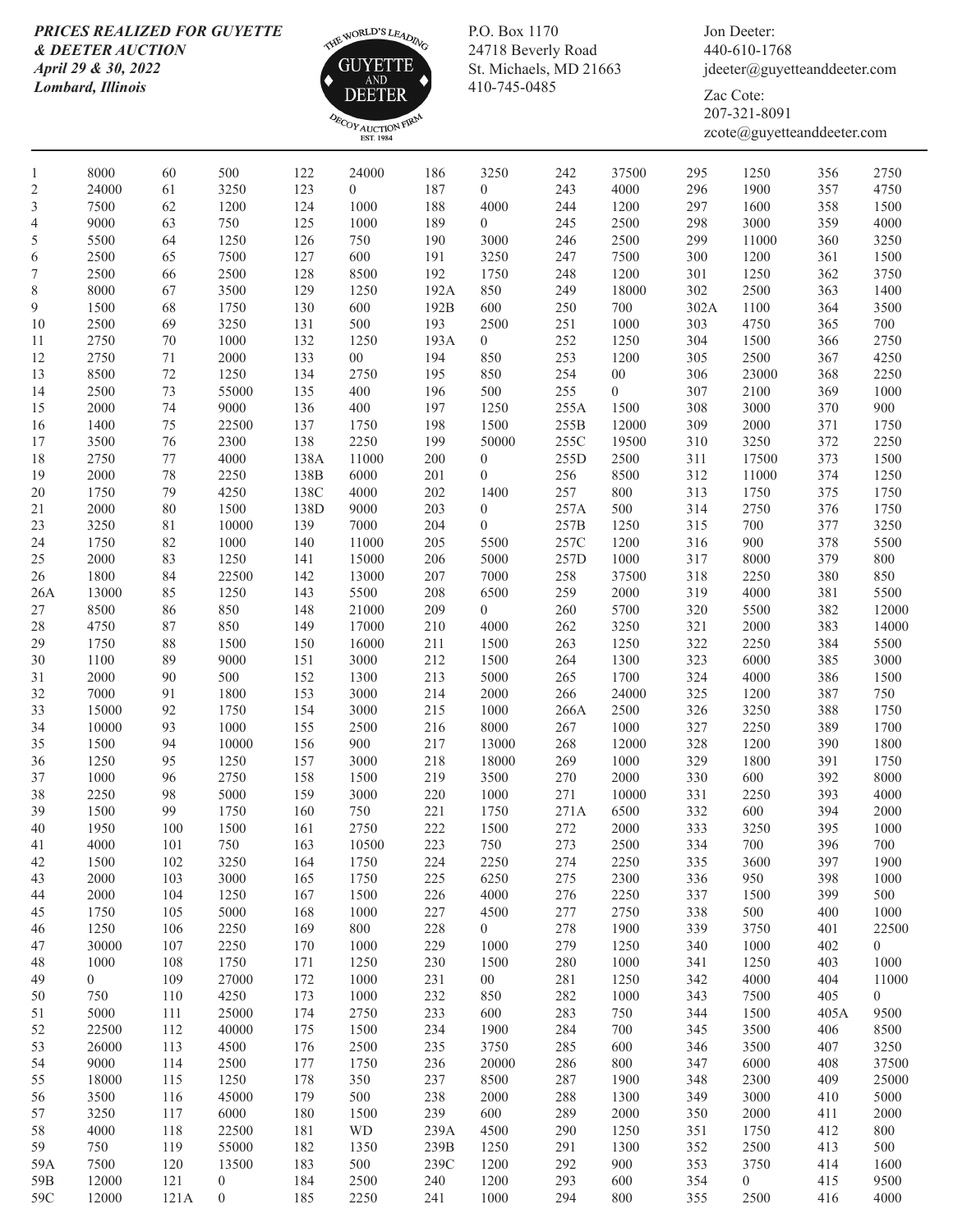## *PRICES REALIZED FOR GUYETTE & DEETER AUCTION April 29 & 30, 2022 Lombard, Illinois*



P.O. Box 1170 24718 Beverly Road St. Michaels, MD 21663 410-745-0485

Jon Deeter: 440-610-1768 jdeeter@guyetteanddeeter.com

Zac Cote: 207-321-8091 zcote@guyetteanddeeter.com

| $\mathbf{1}$   | 8000           | 60     | 500            | 122  | 24000            | 186     | 3250             | 242  | 37500            | 295  | 1250           | 356  | 2750           |
|----------------|----------------|--------|----------------|------|------------------|---------|------------------|------|------------------|------|----------------|------|----------------|
| $\overline{c}$ | 24000          | 61     | 3250           | 123  | $\boldsymbol{0}$ | 187     | $\boldsymbol{0}$ | 243  | 4000             | 296  | 1900           | 357  | 4750           |
| 3              | 7500           | 62     | 1200           | 124  | 1000             | 188     | 4000             | 244  | 1200             | 297  | 1600           | 358  | 1500           |
| $\overline{4}$ | 9000           | 63     | 750            | 125  | 1000             | 189     | $\boldsymbol{0}$ | 245  | 2500             | 298  | 3000           | 359  | 4000           |
| 5              | 5500           | 64     | 1250           | 126  | 750              | 190     | 3000             | 246  | 2500             | 299  | 11000          | 360  | 3250           |
| 6              | 2500           | 65     | 7500           | 127  | 600              | 191     | 3250             | 247  | 7500             | 300  | 1200           | 361  | 1500           |
| 7              | 2500           | 66     | 2500           | 128  | 8500             | 192     | 1750             | 248  | 1200             | 301  | 1250           | 362  | 3750           |
| $\,$ $\,$      | 8000           | 67     | 3500           | 129  | 1250             | 192A    | 850              | 249  | 18000            | 302  | 2500           | 363  | 1400           |
| $\overline{9}$ | 1500           | 68     | 1750           | 130  | 600              | 192B    | 600              | 250  | 700              | 302A | 1100           | 364  | 3500           |
| 10             | 2500           | 69     | 3250           | 131  | 500              | 193     | 2500             | 251  | 1000             | 303  | 4750           | 365  | 700            |
| 11             | 2750           | $70\,$ | 1000           | 132  | 1250             | 193A    | $\overline{0}$   | 252  | 1250             | 304  | 1500           | 366  | 2750           |
| 12             | 2750           | 71     | 2000           | 133  | ${\bf 00}$       | 194     | 850              | 253  | 1200             | 305  | 2500           | 367  | 4250           |
| 13             | 8500           | 72     | 1250           | 134  | 2750             | 195     | 850              | 254  | ${\bf 00}$       | 306  | 23000          | 368  | 2250           |
| 14             | 2500           | 73     | 55000          | 135  | 400              | 196     | 500              | 255  | $\boldsymbol{0}$ | 307  | 2100           | 369  | 1000           |
| 15             | 2000           | 74     | 9000           | 136  | 400              | 197     | 1250             | 255A | 1500             | 308  | 3000           | 370  | 900            |
| 16             | 1400           | 75     | 22500          | 137  | 1750             | 198     | 1500             | 255B | 12000            | 309  | 2000           | 371  | 1750           |
| 17             | 3500           | $76\,$ | 2300           | 138  | 2250             | 199     | 50000            | 255C | 19500            | 310  | 3250           | 372  | 2250           |
| 18             | 2750           | 77     | 4000           | 138A | 11000            | 200     | $\boldsymbol{0}$ | 255D | 2500             | 311  | 17500          | 373  | 1500           |
| 19             | 2000           | 78     | 2250           | 138B | 6000             | 201     | $\boldsymbol{0}$ | 256  | 8500             | 312  | 11000          | 374  | 1250           |
| 20             | 1750           | 79     | 4250           | 138C | 4000             | 202     | 1400             | 257  | $800\,$          | 313  | 1750           | 375  | 1750           |
| 21             | 2000           | $80\,$ | 1500           | 138D | 9000             | 203     | $\boldsymbol{0}$ | 257A | 500              | 314  | 2750           | 376  | 1750           |
| 23             | 3250           | 81     | 10000          | 139  | 7000             | 204     | $\boldsymbol{0}$ | 257B | 1250             | 315  | $700\,$        | 377  | 3250           |
| 24             | 1750           | 82     | $1000\,$       | 140  | 11000            | 205     | 5500             | 257C | 1200             | 316  | 900            | 378  | 5500           |
| 25             | 2000           | 83     | 1250           | 141  | 15000            | 206     | 5000             | 257D | 1000             | 317  | 8000           | 379  | 800            |
| 26             | 1800           | 84     | 22500          | 142  | 13000            | $207\,$ | 7000             | 258  | 37500            | 318  | 2250           | 380  | 850            |
| 26A            | 13000          | 85     | 1250           | 143  | 5500             | 208     | 6500             | 259  | 2000             | 319  | 4000           | 381  | 5500           |
| 27             | 8500           | 86     | 850            | 148  | 21000            | 209     | $\overline{0}$   | 260  | 5700             | 320  | 5500           | 382  | 12000          |
| 28             | 4750           | 87     | 850            | 149  | 17000            | 210     | 4000             | 262  | 3250             | 321  | 2000           | 383  | 14000          |
| 29             | 1750           | 88     | 1500           | 150  | 16000            | 211     | 1500             | 263  | 1250             | 322  | 2250           | 384  | 5500           |
| 30             | 1100           | 89     | 9000           | 151  | 3000             | 212     | 1500             | 264  | 1300             | 323  | 6000           | 385  | 3000           |
| 31             | 2000           | 90     | 500            | 152  | 1300             | 213     | 5000             | 265  | 1700             | 324  | 4000           | 386  | 1500           |
| 32             | 7000           | 91     | 1800           | 153  | 3000             | 214     | 2000             | 266  | 24000            | 325  | 1200           | 387  | 750            |
| 33             | 15000          | 92     | 1750           | 154  | 3000             | 215     | 1000             | 266A | 2500             | 326  | 3250           | 388  | 1750           |
| 34             | 10000          | 93     | 1000           | 155  | 2500             | 216     | 8000             | 267  | 1000             | 327  | 2250           | 389  | 1700           |
| 35             | 1500           | 94     | 10000          | 156  | 900              | 217     | 13000            | 268  | 12000            | 328  | 1200           | 390  | 1800           |
| 36             | 1250           | 95     | 1250           | 157  | 3000             | 218     | 18000            | 269  | 1000             | 329  | 1800           | 391  | 1750           |
| 37             | 1000           | 96     | 2750           | 158  | 1500             | 219     | 3500             | 270  | 2000             | 330  | 600            | 392  | 8000           |
| 38             | 2250           | 98     | 5000           | 159  | 3000             | 220     | 1000             | 271  | 10000            | 331  | 2250           | 393  | 4000           |
| 39             | 1500           | 99     | 1750           | 160  | 750              | 221     | 1750             | 271A | 6500             | 332  | 600            | 394  | 2000           |
| $40\,$         | 1950           | 100    | 1500           | 161  | 2750             | 222     | 1500             | 272  | 2000             | 333  | 3250           | 395  | 1000           |
| 41             | 4000           | 101    | 750            | 163  | 10500            | 223     | 750              | 273  | 2500             | 334  | 700            | 396  | 700            |
| 42             | 1500           | 102    | 3250           | 164  | 1750             | 224     | 2250             | 274  | 2250             | 335  | 3600           | 397  | 1900           |
| 43             | 2000           | 103    | 3000           | 165  | 1750             | 225     | 6250             | 275  | 2300             | 336  | 950            | 398  | 1000           |
| 44             | 2000           | 104    | 1250           | 167  | 1500             | 226     | 4000             | 276  | 2250             | 337  | 1500           | 399  | 500            |
| 45             | 1750           | 105    | 5000           | 168  | 1000             | 227     | 4500             | 277  | 2750             | 338  | 500            | 400  | 1000           |
| 46             | 1250           | 106    | 2250           | 169  | 800              | 228     | $\overline{0}$   | 278  | 1900             | 339  | 3750           | 401  | 22500          |
| 47             | 30000          | 107    | 2250           | 170  | 1000             | 229     | 1000             | 279  | 1250             | 340  | 1000           | 402  | $\overline{0}$ |
| 48             | 1000           | 108    | 1750           | 171  | 1250             | 230     | 1500             | 280  | 1000             | 341  | 1250           | 403  | 1000           |
| 49             | $\overline{0}$ | 109    | 27000          | 172  | 1000             | 231     | $00\,$           | 281  | 1250             | 342  | 4000           | 404  | 11000          |
| 50             | 750            | 110    | 4250           | 173  | 1000             | 232     | 850              | 282  | 1000             | 343  | 7500           | 405  | $\overline{0}$ |
| 51             | 5000           | 111    | 25000          | 174  | 2750             | 233     | 600              | 283  | 750              | 344  | 1500           | 405A | 9500           |
| 52             | 22500          | 112    | 40000          | 175  | 1500             | 234     | 1900             | 284  | $700\,$          | 345  | 3500           | 406  | 8500           |
| 53             | 26000          | 113    | 4500           | 176  | 2500             | 235     | 3750             | 285  | 600              | 346  | 3500           | 407  | 3250           |
| 54             | 9000           | 114    | 2500           | 177  | 1750             | 236     | 20000            | 286  | 800              | 347  | 6000           | 408  | 37500          |
| 55             | 18000          | 115    | 1250           | 178  | 350              | 237     | 8500             | 287  | 1900             | 348  | 2300           | 409  | 25000          |
| 56             | 3500           | 116    | 45000          | 179  | 500              | 238     | 2000             | 288  | 1300             | 349  | 3000           | 410  | 5000           |
| 57             | 3250           | 117    | 6000           | 180  | 1500             | 239     | 600              | 289  | 2000             | 350  | 2000           | 411  | 2000           |
| 58             | 4000           | 118    | 22500          | 181  | WD               | 239A    | 4500             | 290  | 1250             | 351  | 1750           | 412  | 800            |
| 59             | 750            | 119    | 55000          | 182  | 1350             | 239B    | 1250             | 291  | 1300             | 352  | 2500           | 413  | 500            |
| 59A            | 7500           | 120    | 13500          | 183  | 500              | 239C    | 1200             | 292  | 900              | 353  | 3750           | 414  | 1600           |
| 59B            | 12000          | 121    | $\overline{0}$ | 184  | 2500             | 240     | 1200             | 293  | 600              | 354  | $\overline{0}$ | 415  | 9500           |
| 59C            | 12000          | 121A   | $\overline{0}$ | 185  | 2250             | 241     | 1000             | 294  | 800              | 355  | 2500           | 416  | 4000           |
|                |                |        |                |      |                  |         |                  |      |                  |      |                |      |                |